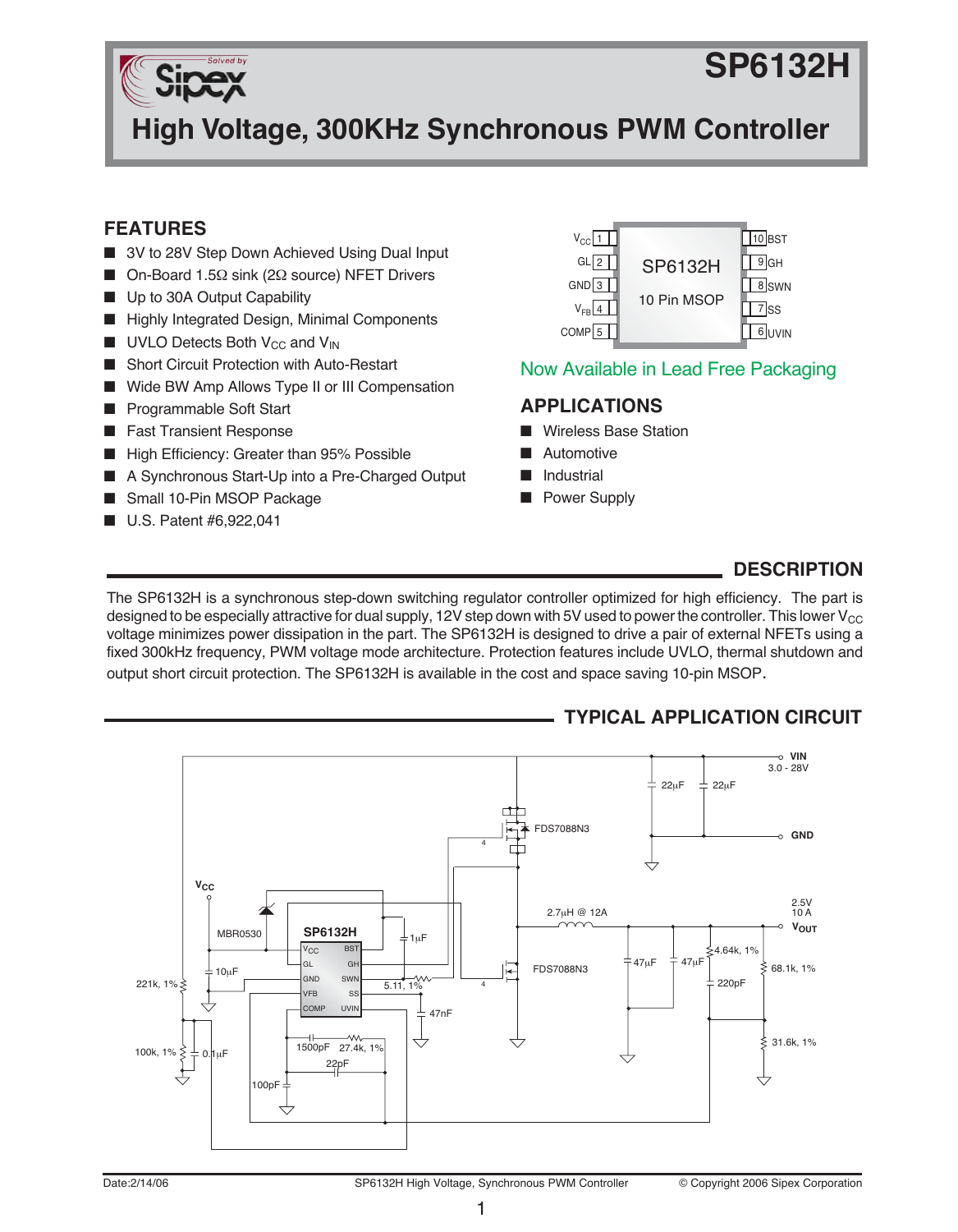# **SP6132H**



**High Voltage, 300KHz Synchronous PWM Controller**

### **FEATURES**

- 3V to 28V Step Down Achieved Using Dual Input
- On-Board 1.5Ω sink (2Ω source) NFET Drivers
- Up to 30A Output Capability
- Highly Integrated Design, Minimal Components
- $\blacksquare$  UVLO Detects Both V<sub>CC</sub> and V<sub>IN</sub>
- Short Circuit Protection with Auto-Restart
- Wide BW Amp Allows Type II or III Compensation
- Programmable Soft Start
- Fast Transient Response
- High Efficiency: Greater than 95% Possible
- A Synchronous Start-Up into a Pre-Charged Output
- Small 10-Pin MSOP Package
- U.S. Patent #6,922,041



### Now Available in Lead Free Packaging

#### **APPLICATIONS**

- **Wireless Base Station**
- **Automotive**
- **Industrial**
- Power Supply

### **DESCRIPTION**

The SP6132H is a synchronous step-down switching regulator controller optimized for high efficiency. The part is designed to be especially attractive for dual supply, 12V step down with 5V used to power the controller. This lower  $V_{CC}$ voltage minimizes power dissipation in the part. The SP6132H is designed to drive a pair of external NFETs using a fixed 300kHz frequency, PWM voltage mode architecture. Protection features include UVLO, thermal shutdown and output short circuit protection. The SP6132H is available in the cost and space saving 10-pin MSOP.

### **TYPICAL APPLICATION CIRCUIT**

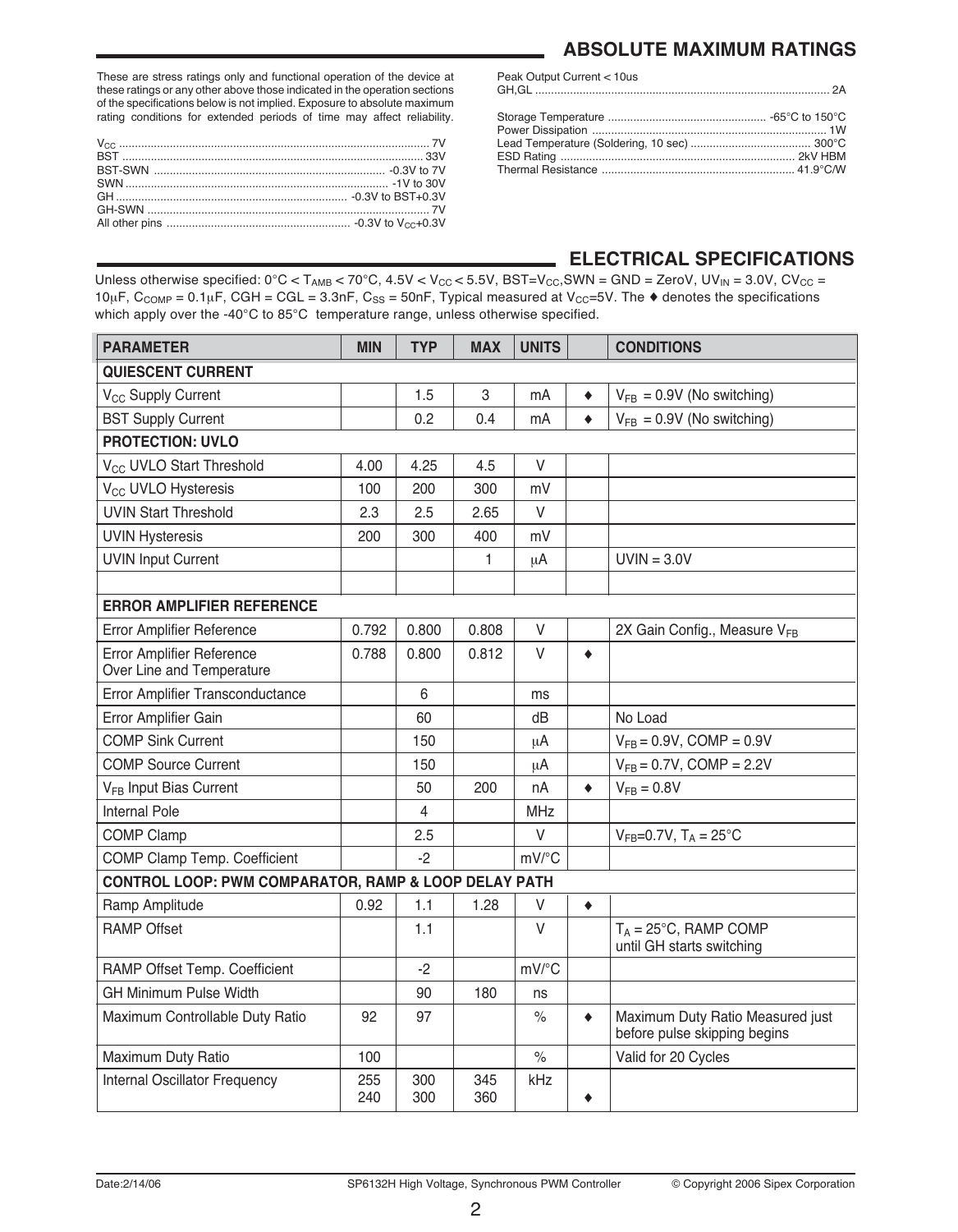These are stress ratings only and functional operation of the device at these ratings or any other above those indicated in the operation sections of the specifications below is not implied. Exposure to absolute maximum rating conditions for extended periods of time may affect reliability.

### **ABSOLUTE MAXIMUM RATINGS**

| Peak Output Current < 10us |  |
|----------------------------|--|
|                            |  |

### **ELECTRICAL SPECIFICATIONS**

Unless otherwise specified:  $0^{\circ}C < T_{AMB} < 70^{\circ}C$ ,  $4.5V < V_{CC} < 5.5V$ ,  $BST=V_{CC}$ ,  $SWN = GND = ZeroV$ ,  $UV_{IN} = 3.0V$ ,  $CV_{CC} = 1.5V$  $10\mu$ F, C<sub>COMP</sub> =  $0.1\mu$ F, CGH = CGL = 3.3nF, C<sub>SS</sub> = 50nF, Typical measured at V<sub>CC</sub>=5V. The  $\bullet$  denotes the specifications which apply over the -40°C to 85°C temperature range, unless otherwise specified.

| <b>PARAMETER</b>                                              | <b>MIN</b> | <b>TYP</b>     | <b>MAX</b> | <b>UNITS</b>        |           | <b>CONDITIONS</b>                                                |  |  |
|---------------------------------------------------------------|------------|----------------|------------|---------------------|-----------|------------------------------------------------------------------|--|--|
| QUIESCENT CURRENT                                             |            |                |            |                     |           |                                                                  |  |  |
| V <sub>CC</sub> Supply Current                                |            | 1.5            | 3          | mA                  | ٠         | $V_{FB} = 0.9V$ (No switching)                                   |  |  |
| <b>BST Supply Current</b>                                     |            | 0.2            | 0.4        | mA                  | ٠         | $V_{FB} = 0.9V$ (No switching)                                   |  |  |
| <b>PROTECTION: UVLO</b>                                       |            |                |            |                     |           |                                                                  |  |  |
| V <sub>CC</sub> UVLO Start Threshold                          | 4.00       | 4.25           | 4.5        | V                   |           |                                                                  |  |  |
| V <sub>CC</sub> UVLO Hysteresis                               | 100        | 200            | 300        | mV                  |           |                                                                  |  |  |
| <b>UVIN Start Threshold</b>                                   | 2.3        | 2.5            | 2.65       | V                   |           |                                                                  |  |  |
| <b>UVIN Hysteresis</b>                                        | 200        | 300            | 400        | mV                  |           |                                                                  |  |  |
| <b>UVIN Input Current</b>                                     |            |                | 1.         | μA                  |           | $UVIN = 3.0V$                                                    |  |  |
|                                                               |            |                |            |                     |           |                                                                  |  |  |
| <b>ERROR AMPLIFIER REFERENCE</b>                              |            |                |            |                     |           |                                                                  |  |  |
| <b>Error Amplifier Reference</b>                              | 0.792      | 0.800          | 0.808      | $\vee$              |           | 2X Gain Config., Measure VFB                                     |  |  |
| <b>Error Amplifier Reference</b><br>Over Line and Temperature | 0.788      | 0.800          | 0.812      | $\vee$              | ٠         |                                                                  |  |  |
| Error Amplifier Transconductance                              |            | 6              |            | ms                  |           |                                                                  |  |  |
| Error Amplifier Gain                                          |            | 60             |            | dB                  |           | No Load                                                          |  |  |
| <b>COMP Sink Current</b>                                      |            | 150            |            | μA                  |           | $V_{FB} = 0.9V$ , COMP = 0.9V                                    |  |  |
| <b>COMP Source Current</b>                                    |            | 150            |            | μA                  |           | $V_{FB} = 0.7V$ , COMP = 2.2V                                    |  |  |
| V <sub>FB</sub> Input Bias Current                            |            | 50             | 200        | nA                  | $\bullet$ | $V_{FB} = 0.8V$                                                  |  |  |
| <b>Internal Pole</b>                                          |            | $\overline{4}$ |            | <b>MHz</b>          |           |                                                                  |  |  |
| <b>COMP Clamp</b>                                             |            | 2.5            |            | $\vee$              |           | $V_{FB} = 0.7V$ , $T_A = 25^{\circ}C$                            |  |  |
| COMP Clamp Temp. Coefficient                                  |            | $-2$           |            | $mV$ <sup>o</sup> C |           |                                                                  |  |  |
| CONTROL LOOP: PWM COMPARATOR, RAMP & LOOP DELAY PATH          |            |                |            |                     |           |                                                                  |  |  |
| Ramp Amplitude                                                | 0.92       | 1.1            | 1.28       | V                   | $\bullet$ |                                                                  |  |  |
| <b>RAMP Offset</b>                                            |            | 1.1            |            | $\vee$              |           | $T_A = 25^{\circ}$ C, RAMP COMP<br>until GH starts switching     |  |  |
| RAMP Offset Temp. Coefficient                                 |            | $-2$           |            | mV/°C               |           |                                                                  |  |  |
| <b>GH Minimum Pulse Width</b>                                 |            | 90             | 180        | ns                  |           |                                                                  |  |  |
| Maximum Controllable Duty Ratio                               | 92         | 97             |            | $\frac{1}{2}$       | $\bullet$ | Maximum Duty Ratio Measured just<br>before pulse skipping begins |  |  |
| Maximum Duty Ratio                                            | 100        |                |            | $\%$                |           | Valid for 20 Cycles                                              |  |  |
| Internal Oscillator Frequency                                 | 255<br>240 | 300<br>300     | 345<br>360 | kHz                 | ٠         |                                                                  |  |  |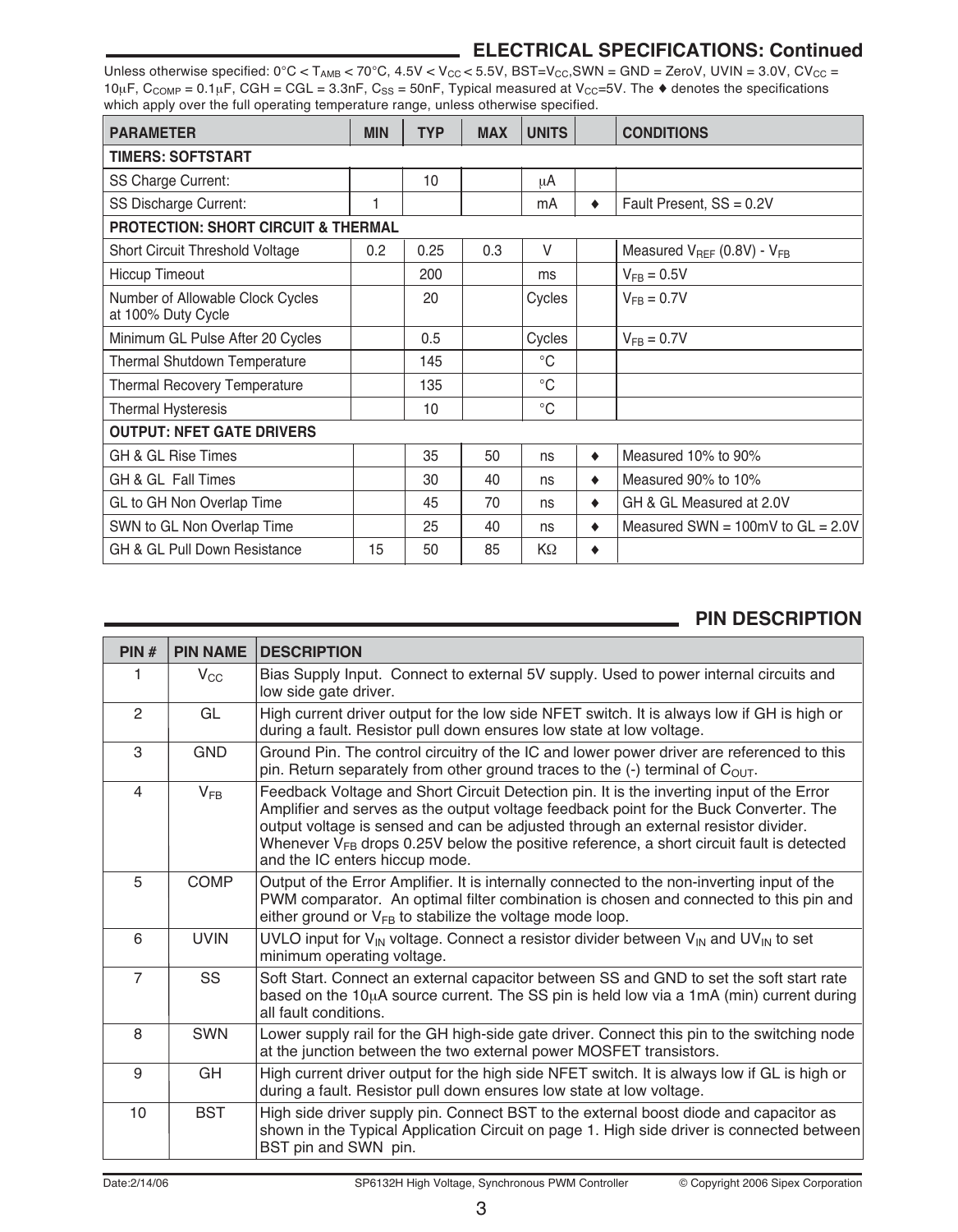### **ELECTRICAL SPECIFICATIONS: Continued**

Unless otherwise specified:  $0^{\circ}$ C < T<sub>AMB</sub> < 70 $^{\circ}$ C, 4.5V < V<sub>CC</sub> < 5.5V, BST=V<sub>CC</sub>, SWN = GND = ZeroV, UVIN = 3.0V, CV<sub>CC</sub> = 10µF,  $C_{COMP} = 0.1$ µF, CGH = CGL = 3.3nF, C<sub>SS</sub> = 50nF, Typical measured at V<sub>CC</sub>=5V. The  $\triangle$  denotes the specifications which apply over the full operating temperature range, unless otherwise specified.

| <b>PARAMETER</b>                                       | <b>MIN</b> | <b>TYP</b> | <b>MAX</b> | <b>UNITS</b> |   | <b>CONDITIONS</b>                     |  |
|--------------------------------------------------------|------------|------------|------------|--------------|---|---------------------------------------|--|
| <b>TIMERS: SOFTSTART</b>                               |            |            |            |              |   |                                       |  |
| <b>SS Charge Current:</b>                              |            | 10         |            | μA           |   |                                       |  |
| SS Discharge Current:                                  |            |            |            | mA           | ٠ | Fault Present, SS = 0.2V              |  |
| <b>PROTECTION: SHORT CIRCUIT &amp; THERMAL</b>         |            |            |            |              |   |                                       |  |
| <b>Short Circuit Threshold Voltage</b>                 | 0.2        | 0.25       | 0.3        | $\vee$       |   | Measured $V_{REF}$ (0.8V) - $V_{FB}$  |  |
| <b>Hiccup Timeout</b>                                  |            | 200        |            | ms           |   | $V_{FB} = 0.5V$                       |  |
| Number of Allowable Clock Cycles<br>at 100% Duty Cycle |            | 20         |            | Cycles       |   | $V_{FB} = 0.7V$                       |  |
| Minimum GL Pulse After 20 Cycles                       |            | 0.5        |            | Cycles       |   | $V_{FB} = 0.7V$                       |  |
| <b>Thermal Shutdown Temperature</b>                    |            | 145        |            | $^{\circ}C$  |   |                                       |  |
| <b>Thermal Recovery Temperature</b>                    |            | 135        |            | $^{\circ}C$  |   |                                       |  |
| <b>Thermal Hysteresis</b>                              |            | 10         |            | $^{\circ}$ C |   |                                       |  |
| <b>OUTPUT: NFET GATE DRIVERS</b>                       |            |            |            |              |   |                                       |  |
| GH & GL Rise Times                                     |            | 35         | 50         | ns           | ٠ | Measured 10% to 90%                   |  |
| GH & GL Fall Times                                     |            | 30         | 40         | ns           | ٠ | Measured 90% to 10%                   |  |
| GL to GH Non Overlap Time                              |            | 45         | 70         | ns           | ٠ | GH & GL Measured at 2.0V              |  |
| SWN to GL Non Overlap Time                             |            | 25         | 40         | ns           | ٠ | Measured SWN = $100mV$ to GL = $2.0V$ |  |
| GH & GL Pull Down Resistance                           | 15         | 50         | 85         | KΩ           | ٠ |                                       |  |

### **PIN DESCRIPTION**

| PIN#           | <b>PIN NAME</b> | <b>DESCRIPTION</b>                                                                                                                                                                                                                                                                                                                                                                                         |
|----------------|-----------------|------------------------------------------------------------------------------------------------------------------------------------------------------------------------------------------------------------------------------------------------------------------------------------------------------------------------------------------------------------------------------------------------------------|
| 1              | $V_{CC}$        | Bias Supply Input. Connect to external 5V supply. Used to power internal circuits and<br>low side gate driver.                                                                                                                                                                                                                                                                                             |
| 2              | GL              | High current driver output for the low side NFET switch. It is always low if GH is high or<br>during a fault. Resistor pull down ensures low state at low voltage.                                                                                                                                                                                                                                         |
| 3              | <b>GND</b>      | Ground Pin. The control circuitry of the IC and lower power driver are referenced to this<br>pin. Return separately from other ground traces to the $(-)$ terminal of C <sub>OUT</sub> .                                                                                                                                                                                                                   |
| 4              | $V_{FB}$        | Feedback Voltage and Short Circuit Detection pin. It is the inverting input of the Error<br>Amplifier and serves as the output voltage feedback point for the Buck Converter. The<br>output voltage is sensed and can be adjusted through an external resistor divider.<br>Whenever $V_{FB}$ drops 0.25V below the positive reference, a short circuit fault is detected<br>and the IC enters hiccup mode. |
| 5              | <b>COMP</b>     | Output of the Error Amplifier. It is internally connected to the non-inverting input of the<br>PWM comparator. An optimal filter combination is chosen and connected to this pin and<br>either ground or $V_{FB}$ to stabilize the voltage mode loop.                                                                                                                                                      |
| 6              | <b>UVIN</b>     | UVLO input for $V_{\text{IN}}$ voltage. Connect a resistor divider between $V_{\text{IN}}$ and UV <sub>IN</sub> to set<br>minimum operating voltage.                                                                                                                                                                                                                                                       |
| $\overline{7}$ | SS              | Soft Start. Connect an external capacitor between SS and GND to set the soft start rate<br>based on the $10\mu A$ source current. The SS pin is held low via a 1mA (min) current during<br>all fault conditions.                                                                                                                                                                                           |
| 8              | <b>SWN</b>      | Lower supply rail for the GH high-side gate driver. Connect this pin to the switching node<br>at the junction between the two external power MOSFET transistors.                                                                                                                                                                                                                                           |
| 9              | GH              | High current driver output for the high side NFET switch. It is always low if GL is high or<br>during a fault. Resistor pull down ensures low state at low voltage.                                                                                                                                                                                                                                        |
| 10             | <b>BST</b>      | High side driver supply pin. Connect BST to the external boost diode and capacitor as<br>shown in the Typical Application Circuit on page 1. High side driver is connected between<br>BST pin and SWN pin.                                                                                                                                                                                                 |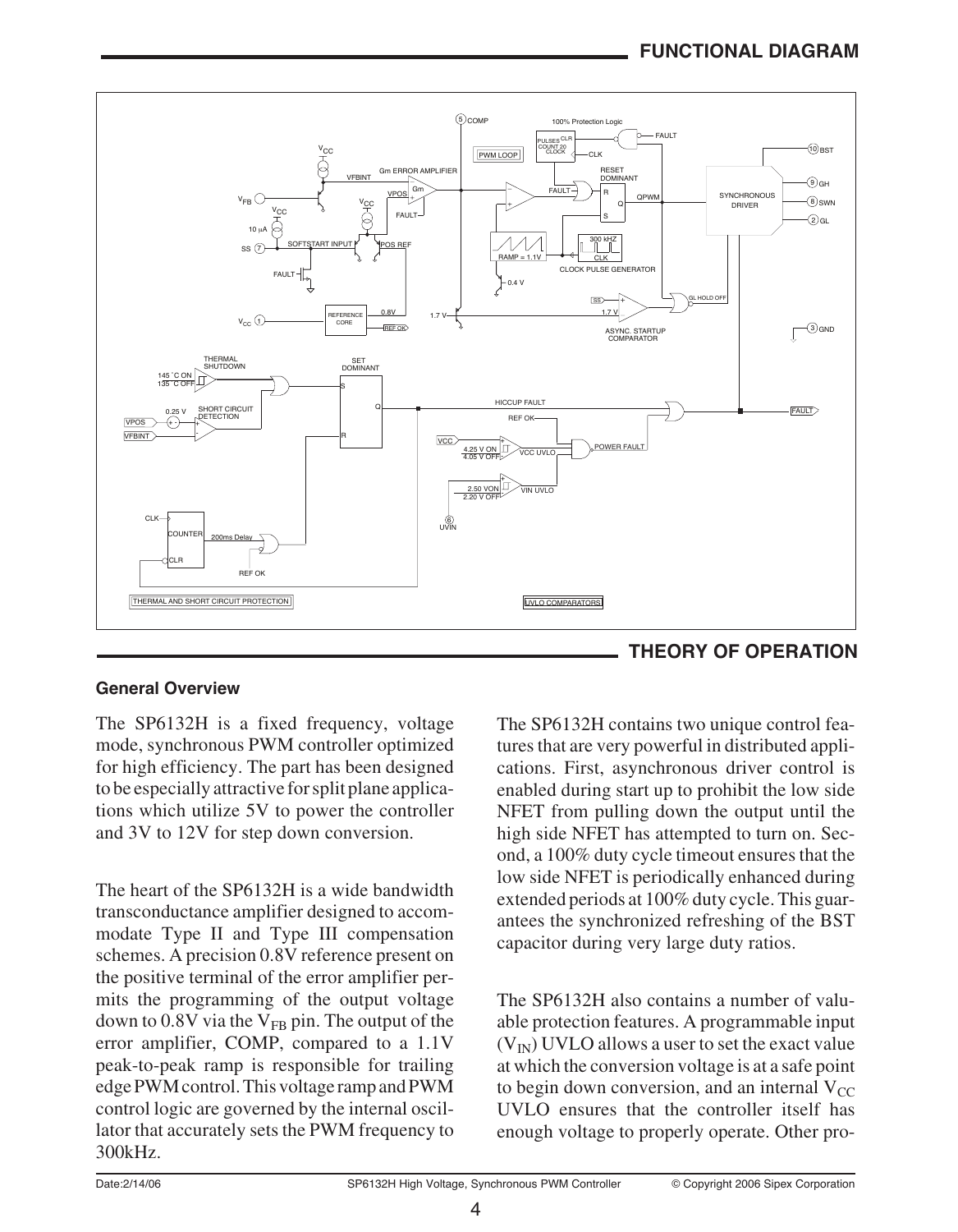

### **General Overview**

The SP6132H is a fixed frequency, voltage mode, synchronous PWM controller optimized for high efficiency. The part has been designed to be especially attractive for split plane applications which utilize 5V to power the controller and 3V to 12V for step down conversion.

The heart of the SP6132H is a wide bandwidth transconductance amplifier designed to accommodate Type II and Type III compensation schemes. A precision 0.8V reference present on the positive terminal of the error amplifier permits the programming of the output voltage down to 0.8V via the  $V_{FB}$  pin. The output of the error amplifier, COMP, compared to a 1.1V peak-to-peak ramp is responsible for trailing edge PWM control. This voltage ramp and PWM control logic are governed by the internal oscillator that accurately sets the PWM frequency to 300kHz.



The SP6132H contains two unique control features that are very powerful in distributed applications. First, asynchronous driver control is enabled during start up to prohibit the low side NFET from pulling down the output until the high side NFET has attempted to turn on. Second, a 100% duty cycle timeout ensures that the low side NFET is periodically enhanced during extended periods at 100% duty cycle. This guarantees the synchronized refreshing of the BST capacitor during very large duty ratios.

The SP6132H also contains a number of valuable protection features. A programmable input  $(V_{IN})$  UVLO allows a user to set the exact value at which the conversion voltage is at a safe point to begin down conversion, and an internal  $V_{CC}$ UVLO ensures that the controller itself has enough voltage to properly operate. Other pro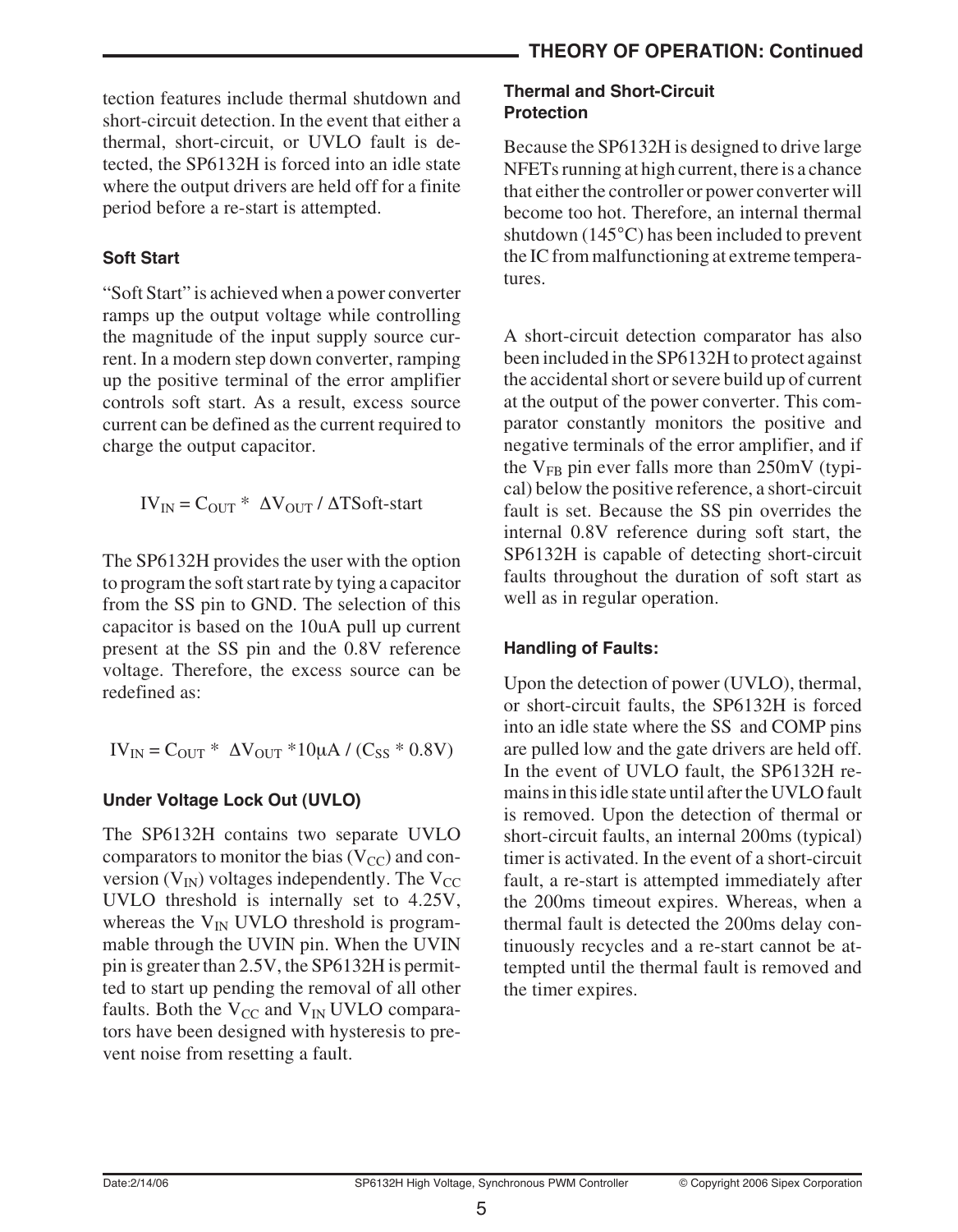tection features include thermal shutdown and short-circuit detection. In the event that either a thermal, short-circuit, or UVLO fault is detected, the SP6132H is forced into an idle state where the output drivers are held off for a finite period before a re-start is attempted.

### **Soft Start**

"Soft Start" is achieved when a power converter ramps up the output voltage while controlling the magnitude of the input supply source current. In a modern step down converter, ramping up the positive terminal of the error amplifier controls soft start. As a result, excess source current can be defined as the current required to charge the output capacitor.

 $IV_{IN} = C_{OUT} * \Delta V_{OUT} / \Delta TSoft-start$ 

The SP6132H provides the user with the option to program the soft start rate by tying a capacitor from the SS pin to GND. The selection of this capacitor is based on the 10uA pull up current present at the SS pin and the 0.8V reference voltage. Therefore, the excess source can be redefined as:

$$
IV_{IN} = C_{OUT} * \Delta V_{OUT} * 10\mu A / (C_{SS} * 0.8 V)
$$

### **Under Voltage Lock Out (UVLO)**

The SP6132H contains two separate UVLO comparators to monitor the bias  $(V_{CC})$  and conversion  $(V_{IN})$  voltages independently. The  $V_{CC}$ UVLO threshold is internally set to 4.25V, whereas the  $V_{IN}$  UVLO threshold is programmable through the UVIN pin. When the UVIN pin is greater than 2.5V, the SP6132H is permitted to start up pending the removal of all other faults. Both the  $V_{CC}$  and  $V_{IN}$  UVLO comparators have been designed with hysteresis to prevent noise from resetting a fault.

### **Thermal and Short-Circuit Protection**

Because the SP6132H is designed to drive large NFETs running at high current, there is a chance that either the controller or power converter will become too hot. Therefore, an internal thermal shutdown (145°C) has been included to prevent the IC from malfunctioning at extreme temperatures.

A short-circuit detection comparator has also been included in the SP6132H to protect against the accidental short or severe build up of current at the output of the power converter. This comparator constantly monitors the positive and negative terminals of the error amplifier, and if the  $V_{FB}$  pin ever falls more than  $250mV$  (typical) below the positive reference, a short-circuit fault is set. Because the SS pin overrides the internal 0.8V reference during soft start, the SP6132H is capable of detecting short-circuit faults throughout the duration of soft start as well as in regular operation.

### **Handling of Faults:**

Upon the detection of power (UVLO), thermal, or short-circuit faults, the SP6132H is forced into an idle state where the SS and COMP pins are pulled low and the gate drivers are held off. In the event of UVLO fault, the SP6132H remains in this idle state until after the UVLO fault is removed. Upon the detection of thermal or short-circuit faults, an internal 200ms (typical) timer is activated. In the event of a short-circuit fault, a re-start is attempted immediately after the 200ms timeout expires. Whereas, when a thermal fault is detected the 200ms delay continuously recycles and a re-start cannot be attempted until the thermal fault is removed and the timer expires.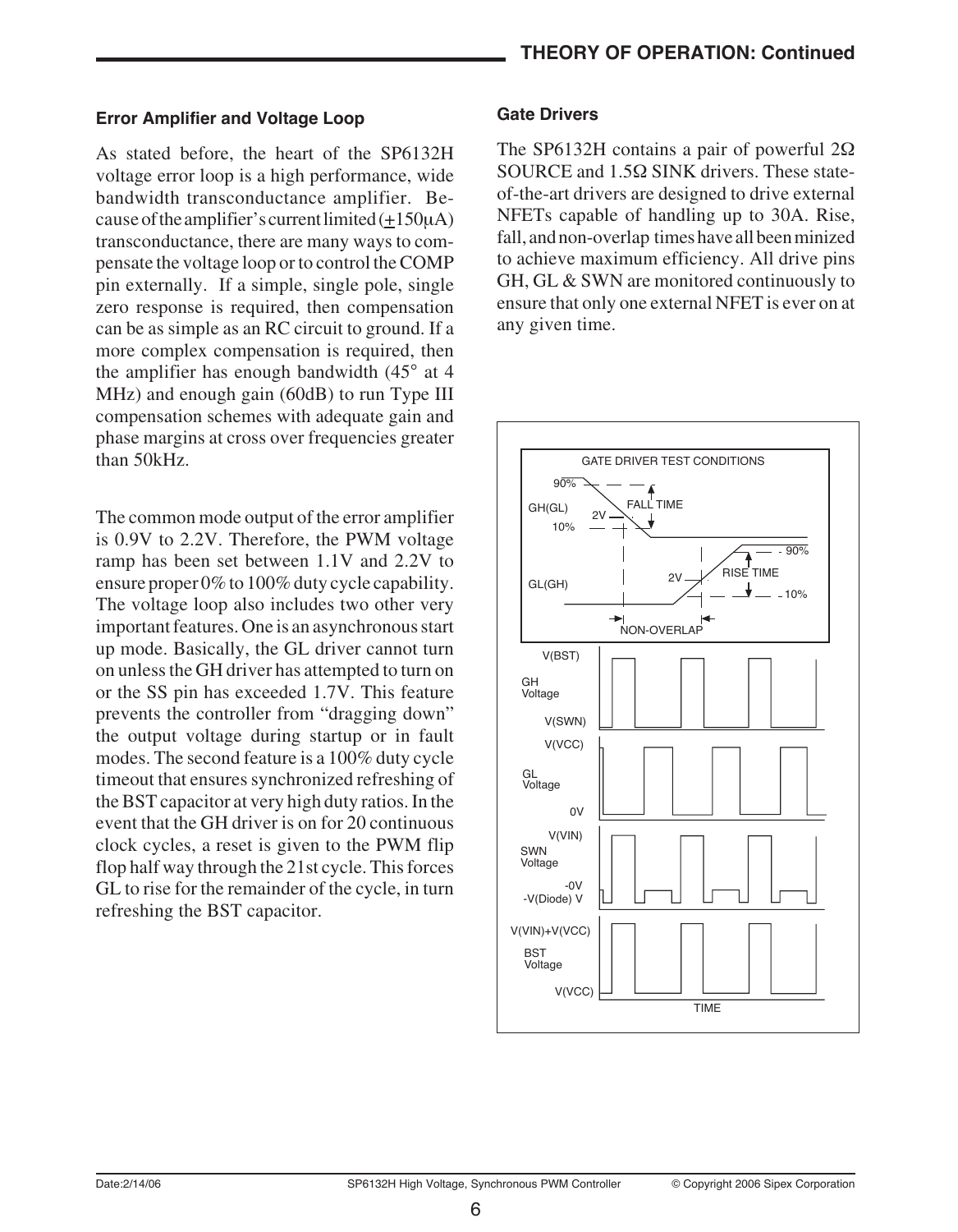#### **Error Amplifier and Voltage Loop**

As stated before, the heart of the SP6132H voltage error loop is a high performance, wide bandwidth transconductance amplifier. Because of the amplifier's current limited  $(+150\mu A)$ transconductance, there are many ways to compensate the voltage loop or to control the COMP pin externally. If a simple, single pole, single zero response is required, then compensation can be as simple as an RC circuit to ground. If a more complex compensation is required, then the amplifier has enough bandwidth (45° at 4 MHz) and enough gain (60dB) to run Type III compensation schemes with adequate gain and phase margins at cross over frequencies greater than 50kHz.

The common mode output of the error amplifier is 0.9V to 2.2V. Therefore, the PWM voltage ramp has been set between 1.1V and 2.2V to ensure proper 0% to 100% duty cycle capability. The voltage loop also includes two other very important features. One is an asynchronous start up mode. Basically, the GL driver cannot turn on unless the GH driver has attempted to turn on or the SS pin has exceeded 1.7V. This feature prevents the controller from "dragging down" the output voltage during startup or in fault modes. The second feature is a 100% duty cycle timeout that ensures synchronized refreshing of the BST capacitor at very high duty ratios. In the event that the GH driver is on for 20 continuous clock cycles, a reset is given to the PWM flip flop half way through the 21st cycle. This forces GL to rise for the remainder of the cycle, in turn refreshing the BST capacitor.

#### **Gate Drivers**

The SP6132H contains a pair of powerful 2Ω SOURCE and 1.5Ω SINK drivers. These stateof-the-art drivers are designed to drive external NFETs capable of handling up to 30A. Rise, fall, and non-overlap times have all been minized to achieve maximum efficiency. All drive pins GH, GL & SWN are monitored continuously to ensure that only one external NFET is ever on at any given time.

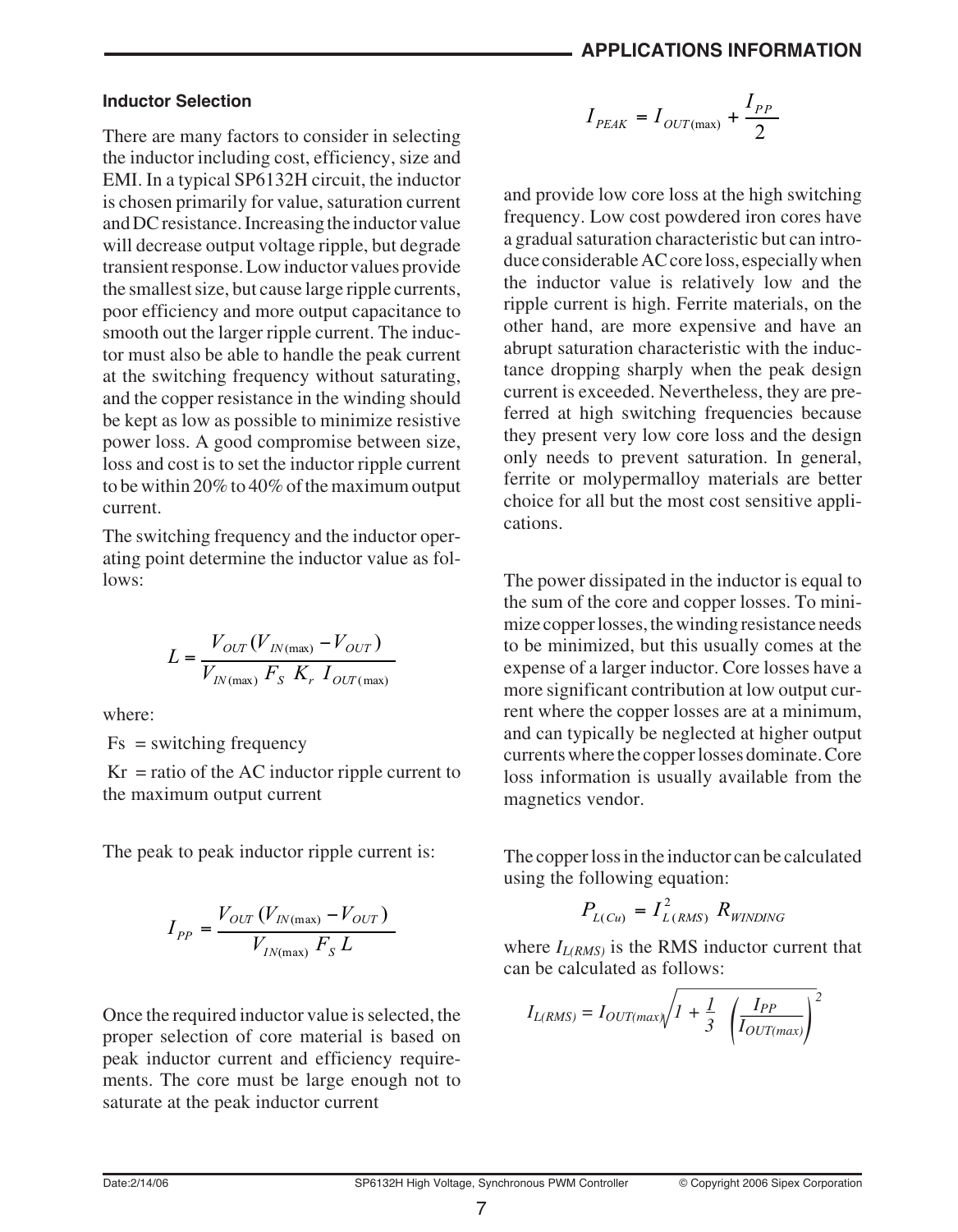#### **Inductor Selection**

There are many factors to consider in selecting the inductor including cost, efficiency, size and EMI. In a typical SP6132H circuit, the inductor is chosen primarily for value, saturation current and DC resistance. Increasing the inductor value will decrease output voltage ripple, but degrade transient response. Low inductor values provide the smallest size, but cause large ripple currents, poor efficiency and more output capacitance to smooth out the larger ripple current. The inductor must also be able to handle the peak current at the switching frequency without saturating, and the copper resistance in the winding should be kept as low as possible to minimize resistive power loss. A good compromise between size, loss and cost is to set the inductor ripple current to be within 20% to 40% of the maximum output current.

The switching frequency and the inductor operating point determine the inductor value as follows:

$$
L = \frac{V_{OUT}(V_{IN(max)} - V_{OUT})}{V_{IN(max)} F_S K_r I_{OUT(max)}}
$$

where:

 $Fs = switching frequency$ 

 $Kr = ratio of the AC inductor ripple current to$ the maximum output current

The peak to peak inductor ripple current is:

$$
I_{PP} = \frac{V_{OUT}(V_{IN(max)} - V_{OUT})}{V_{IN(max)} F_s L}
$$

Once the required inductor value is selected, the proper selection of core material is based on peak inductor current and efficiency requirements. The core must be large enough not to saturate at the peak inductor current

$$
I_{PEAK} = I_{OUT(max)} + \frac{I_{PP}}{2}
$$

and provide low core loss at the high switching frequency. Low cost powdered iron cores have a gradual saturation characteristic but can introduce considerable AC core loss, especially when the inductor value is relatively low and the ripple current is high. Ferrite materials, on the other hand, are more expensive and have an abrupt saturation characteristic with the inductance dropping sharply when the peak design current is exceeded. Nevertheless, they are preferred at high switching frequencies because they present very low core loss and the design only needs to prevent saturation. In general, ferrite or molypermalloy materials are better choice for all but the most cost sensitive applications.

The power dissipated in the inductor is equal to the sum of the core and copper losses. To minimize copper losses, the winding resistance needs to be minimized, but this usually comes at the expense of a larger inductor. Core losses have a more significant contribution at low output current where the copper losses are at a minimum, and can typically be neglected at higher output currents where the copper losses dominate. Core loss information is usually available from the magnetics vendor.

The copper loss in the inductor can be calculated using the following equation:

$$
P_{L(Cu)} = I_{L(RMS)}^2 R_{WINDING}
$$

where  $I_{L(RMS)}$  is the RMS inductor current that can be calculated as follows:

$$
I_{L(RMS)} = I_{OUT(max)} \sqrt{I + \frac{1}{3} \left(\frac{I_{PP}}{I_{OUT(max)}}\right)^2}
$$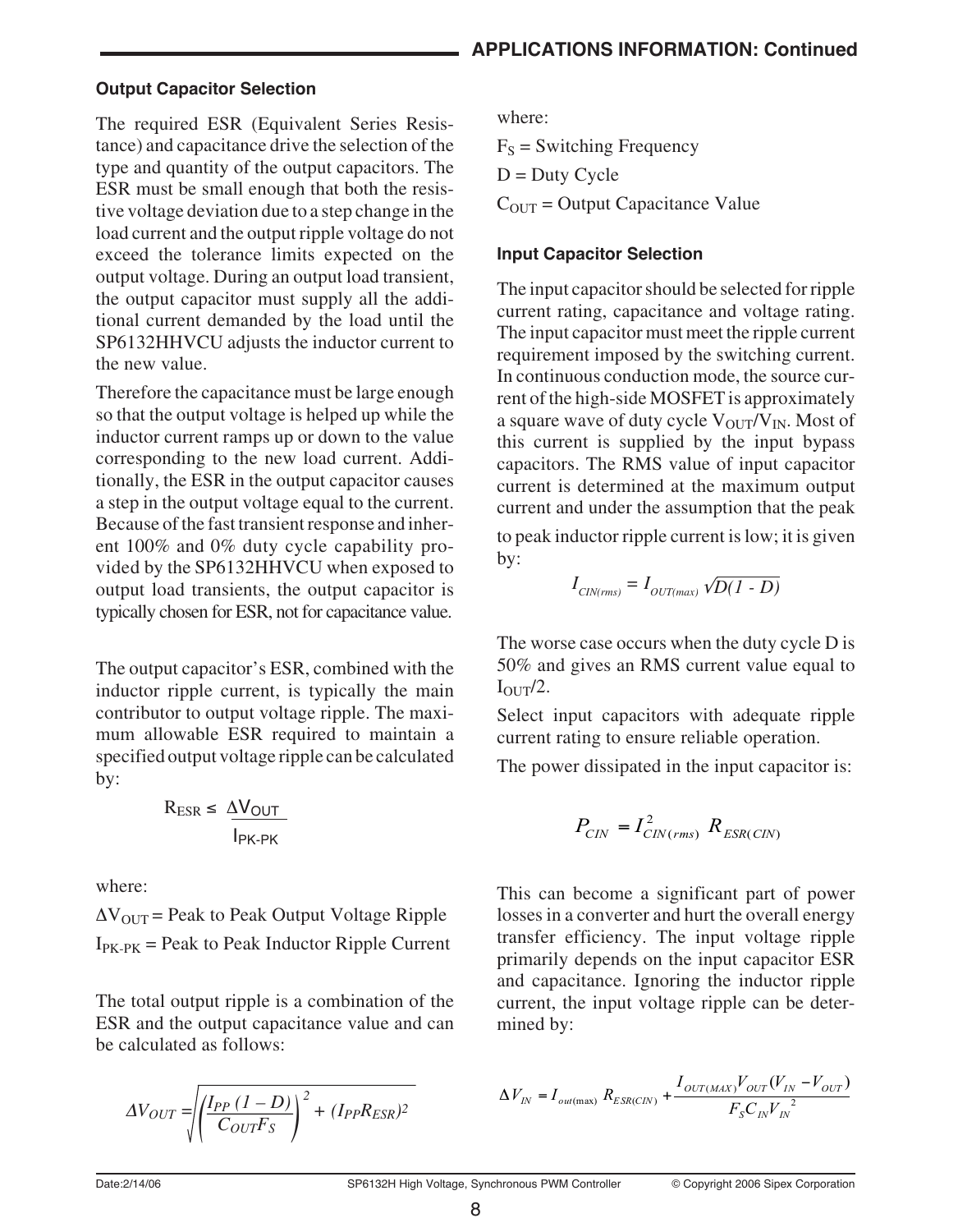### **Output Capacitor Selection**

The required ESR (Equivalent Series Resistance) and capacitance drive the selection of the type and quantity of the output capacitors. The ESR must be small enough that both the resistive voltage deviation due to a step change in the load current and the output ripple voltage do not exceed the tolerance limits expected on the output voltage. During an output load transient, the output capacitor must supply all the additional current demanded by the load until the SP6132HHVCU adjusts the inductor current to the new value.

Therefore the capacitance must be large enough so that the output voltage is helped up while the inductor current ramps up or down to the value corresponding to the new load current. Additionally, the ESR in the output capacitor causes a step in the output voltage equal to the current. Because of the fast transient response and inherent 100% and 0% duty cycle capability provided by the SP6132HHVCU when exposed to output load transients, the output capacitor is typically chosen for ESR, not for capacitance value.

The output capacitor's ESR, combined with the inductor ripple current, is typically the main contributor to output voltage ripple. The maximum allowable ESR required to maintain a specified output voltage ripple can be calculated by:

$$
R_{ESR} \leq \frac{\Delta V_{OUT}}{I_{PK-PK}}
$$

where:

 $\Delta V_{\text{OUT}}$  = Peak to Peak Output Voltage Ripple  $I_{PK-PK}$  = Peak to Peak Inductor Ripple Current

The total output ripple is a combination of the ESR and the output capacitance value and can be calculated as follows:

$$
\Delta V_{OUT} = \sqrt{\left(\frac{I_{PP} (1 - D)}{C_{OUT} F_S}\right)^2 + (I_{PP} R_{ESR})^2}
$$

where:

 $F<sub>S</sub>$  = Switching Frequency  $D = Duty$  Cycle

 $C<sub>OUT</sub> = Output Capacitance Value$ 

### **Input Capacitor Selection**

The input capacitor should be selected for ripple current rating, capacitance and voltage rating. The input capacitor must meet the ripple current requirement imposed by the switching current. In continuous conduction mode, the source current of the high-side MOSFET is approximately a square wave of duty cycle  $V_{\text{OUT}}/V_{\text{IN}}$ . Most of this current is supplied by the input bypass capacitors. The RMS value of input capacitor current is determined at the maximum output current and under the assumption that the peak

to peak inductor ripple current is low; it is given by:

$$
I_{\text{CIN}(rms)} = I_{\text{OUT}(max)} \sqrt{D(1 - D)}
$$

The worse case occurs when the duty cycle D is 50% and gives an RMS current value equal to  $I_{\text{OUT}}/2$ .

Select input capacitors with adequate ripple current rating to ensure reliable operation.

The power dissipated in the input capacitor is:

$$
P_{CIN} = I_{CIN(rms)}^2 R_{ESR(CIN)}
$$

This can become a significant part of power losses in a converter and hurt the overall energy transfer efficiency. The input voltage ripple primarily depends on the input capacitor ESR and capacitance. Ignoring the inductor ripple current, the input voltage ripple can be determined by:

$$
\Delta V_{IN} = I_{ou(\text{max})} R_{ESR(CIN)} + \frac{I_{OUT(MAX)}V_{OUT}(V_{IN} - V_{OUT})}{F_{S}C_{IN}V_{IN}^{2}}
$$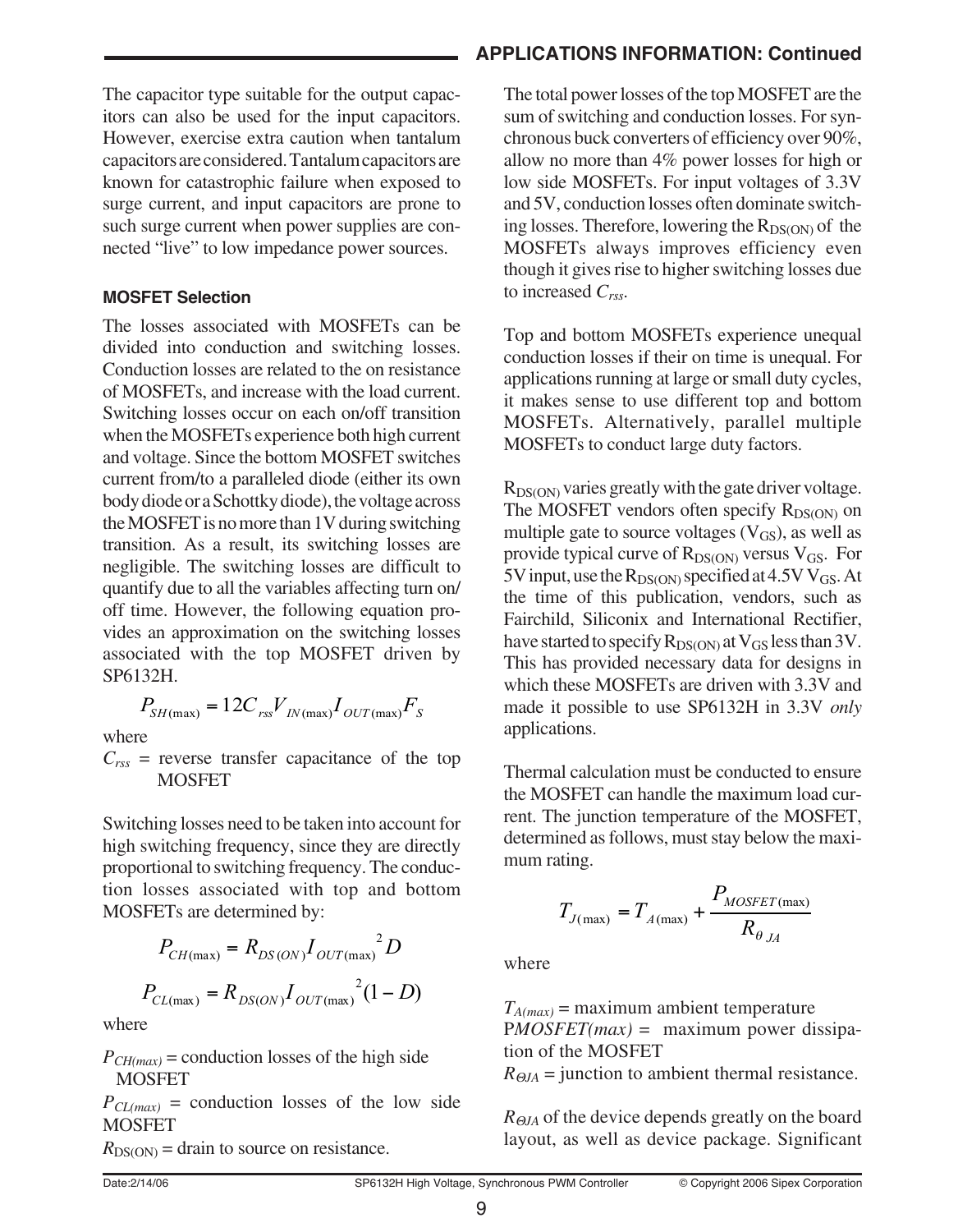The capacitor type suitable for the output capacitors can also be used for the input capacitors. However, exercise extra caution when tantalum capacitors are considered. Tantalum capacitors are known for catastrophic failure when exposed to surge current, and input capacitors are prone to such surge current when power supplies are connected "live" to low impedance power sources.

#### **MOSFET Selection**

The losses associated with MOSFETs can be divided into conduction and switching losses. Conduction losses are related to the on resistance of MOSFETs, and increase with the load current. Switching losses occur on each on/off transition when the MOSFETs experience both high current and voltage. Since the bottom MOSFET switches current from/to a paralleled diode (either its own body diode or a Schottky diode), the voltage across the MOSFET is no more than 1V during switching transition. As a result, its switching losses are negligible. The switching losses are difficult to quantify due to all the variables affecting turn on/ off time. However, the following equation provides an approximation on the switching losses associated with the top MOSFET driven by SP6132H.

$$
P_{SH(\text{max})} = 12C_{\text{rs}}V_{IN(\text{max})}I_{OUT(\text{max})}F_{S}
$$

where

 $C_{rss}$  = reverse transfer capacitance of the top **MOSFET** 

Switching losses need to be taken into account for high switching frequency, since they are directly proportional to switching frequency. The conduction losses associated with top and bottom MOSFETs are determined by:

$$
P_{CH(\text{max})} = R_{DS(ON)} I_{OUT(\text{max})}^{2} D
$$

$$
P_{CL(\text{max})} = R_{DS(ON)} I_{OUT(\text{max})}^{2} (1 - D)
$$

where

 $P_{CH(max)}$  = conduction losses of the high side **MOSFET** 

 $P_{CL(max)}$  = conduction losses of the low side **MOSFET** 

 $R_{DS(ON)}$  = drain to source on resistance.

### **APPLICATIONS INFORMATION: Continued**

The total power losses of the top MOSFET are the sum of switching and conduction losses. For synchronous buck converters of efficiency over 90%, allow no more than 4% power losses for high or low side MOSFETs. For input voltages of 3.3V and 5V, conduction losses often dominate switching losses. Therefore, lowering the  $R_{DS(ON)}$  of the MOSFETs always improves efficiency even though it gives rise to higher switching losses due to increased *Crss*.

Top and bottom MOSFETs experience unequal conduction losses if their on time is unequal. For applications running at large or small duty cycles, it makes sense to use different top and bottom MOSFETs. Alternatively, parallel multiple MOSFETs to conduct large duty factors.

 $R_{DS(ON)}$  varies greatly with the gate driver voltage. The MOSFET vendors often specify  $R_{DS(ON)}$  on multiple gate to source voltages  $(V_{GS})$ , as well as provide typical curve of  $R_{DS(ON)}$  versus  $V_{GS}$ . For 5V input, use the  $R_{DS(ON)}$  specified at 4.5V V<sub>GS</sub>. At the time of this publication, vendors, such as Fairchild, Siliconix and International Rectifier, have started to specify  $R_{DS(ON)}$  at  $V_{GS}$  less than 3V. This has provided necessary data for designs in which these MOSFETs are driven with 3.3V and made it possible to use SP6132H in 3.3V *only* applications.

Thermal calculation must be conducted to ensure the MOSFET can handle the maximum load current. The junction temperature of the MOSFET, determined as follows, must stay below the maximum rating.

$$
T_{J(\max)} = T_{A(\max)} + \frac{P_{MOSET(\max)}}{R_{\theta_{JA}}}
$$

where

 $T_{A(max)}$  = maximum ambient temperature P*MOSFET(max)* = maximum power dissipation of the MOSFET

 $R_{\Theta J A}$  = junction to ambient thermal resistance.

*R*Θ*JA* of the device depends greatly on the board layout, as well as device package. Significant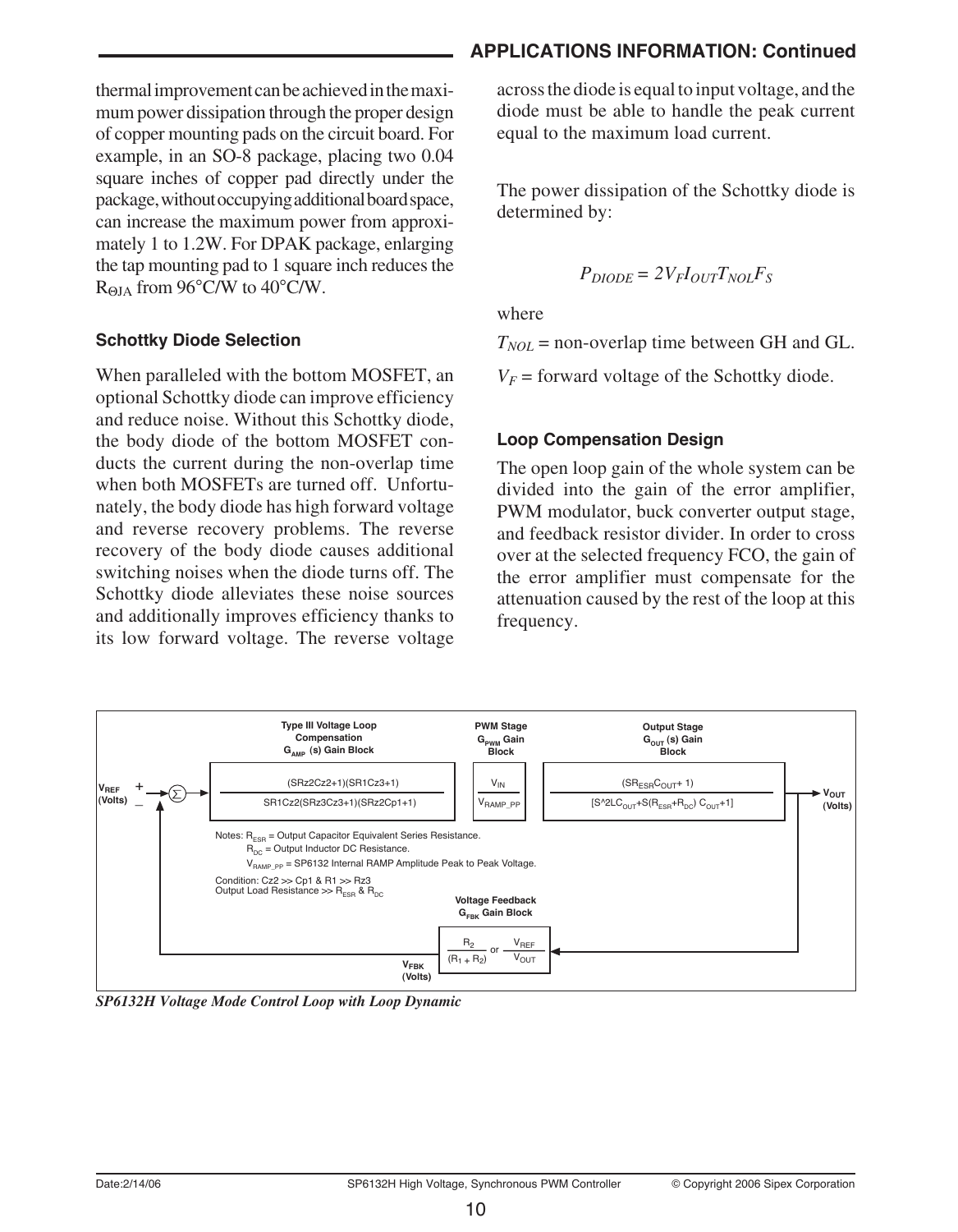thermal improvement can be achieved in the maximum power dissipation through the proper design of copper mounting pads on the circuit board. For example, in an SO-8 package, placing two 0.04 square inches of copper pad directly under the package, without occupying additional board space, can increase the maximum power from approximately 1 to 1.2W. For DPAK package, enlarging the tap mounting pad to 1 square inch reduces the RΘJA from 96°C/W to 40°C/W.

#### **Schottky Diode Selection**

When paralleled with the bottom MOSFET, an optional Schottky diode can improve efficiency and reduce noise. Without this Schottky diode, the body diode of the bottom MOSFET conducts the current during the non-overlap time when both MOSFETs are turned off. Unfortunately, the body diode has high forward voltage and reverse recovery problems. The reverse recovery of the body diode causes additional switching noises when the diode turns off. The Schottky diode alleviates these noise sources and additionally improves efficiency thanks to its low forward voltage. The reverse voltage

### **APPLICATIONS INFORMATION: Continued**

across the diode is equal to input voltage, and the diode must be able to handle the peak current equal to the maximum load current.

The power dissipation of the Schottky diode is determined by:

$$
P_{DIODE} = 2V_F I_{OUT} T_{NOL} F_S
$$

where

 $T_{NOL}$  = non-overlap time between GH and GL.

 $V_F$  = forward voltage of the Schottky diode.

### **Loop Compensation Design**

The open loop gain of the whole system can be divided into the gain of the error amplifier, PWM modulator, buck converter output stage, and feedback resistor divider. In order to cross over at the selected frequency FCO, the gain of the error amplifier must compensate for the attenuation caused by the rest of the loop at this frequency.



*SP6132H Voltage Mode Control Loop with Loop Dynamic*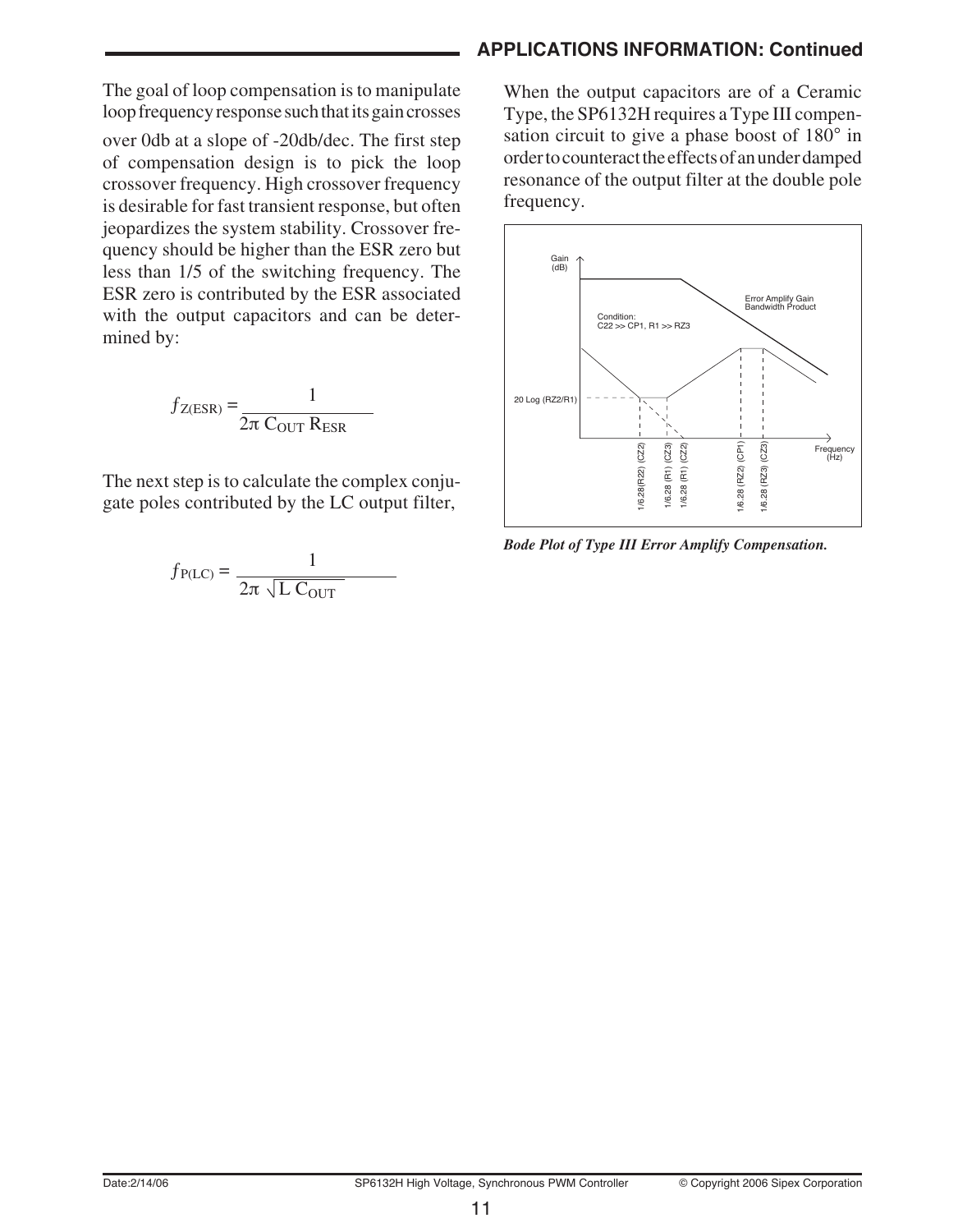The goal of loop compensation is to manipulate loop frequency response such that its gain crosses

over 0db at a slope of -20db/dec. The first step of compensation design is to pick the loop crossover frequency. High crossover frequency is desirable for fast transient response, but often jeopardizes the system stability. Crossover frequency should be higher than the ESR zero but less than 1/5 of the switching frequency. The ESR zero is contributed by the ESR associated with the output capacitors and can be determined by:

$$
f_{Z(ESR)} = \frac{1}{2\pi \ C_{OUT} R_{ESR}}
$$

The next step is to calculate the complex conjugate poles contributed by the LC output filter,

$$
f_{P(LC)} = \frac{1}{2\pi \sqrt{L C_{OUT}}}
$$

### **APPLICATIONS INFORMATION: Continued**

When the output capacitors are of a Ceramic Type, the SP6132H requires a Type III compensation circuit to give a phase boost of 180° in order to counteract the effects of an under damped resonance of the output filter at the double pole frequency.



*Bode Plot of Type III Error Amplify Compensation.*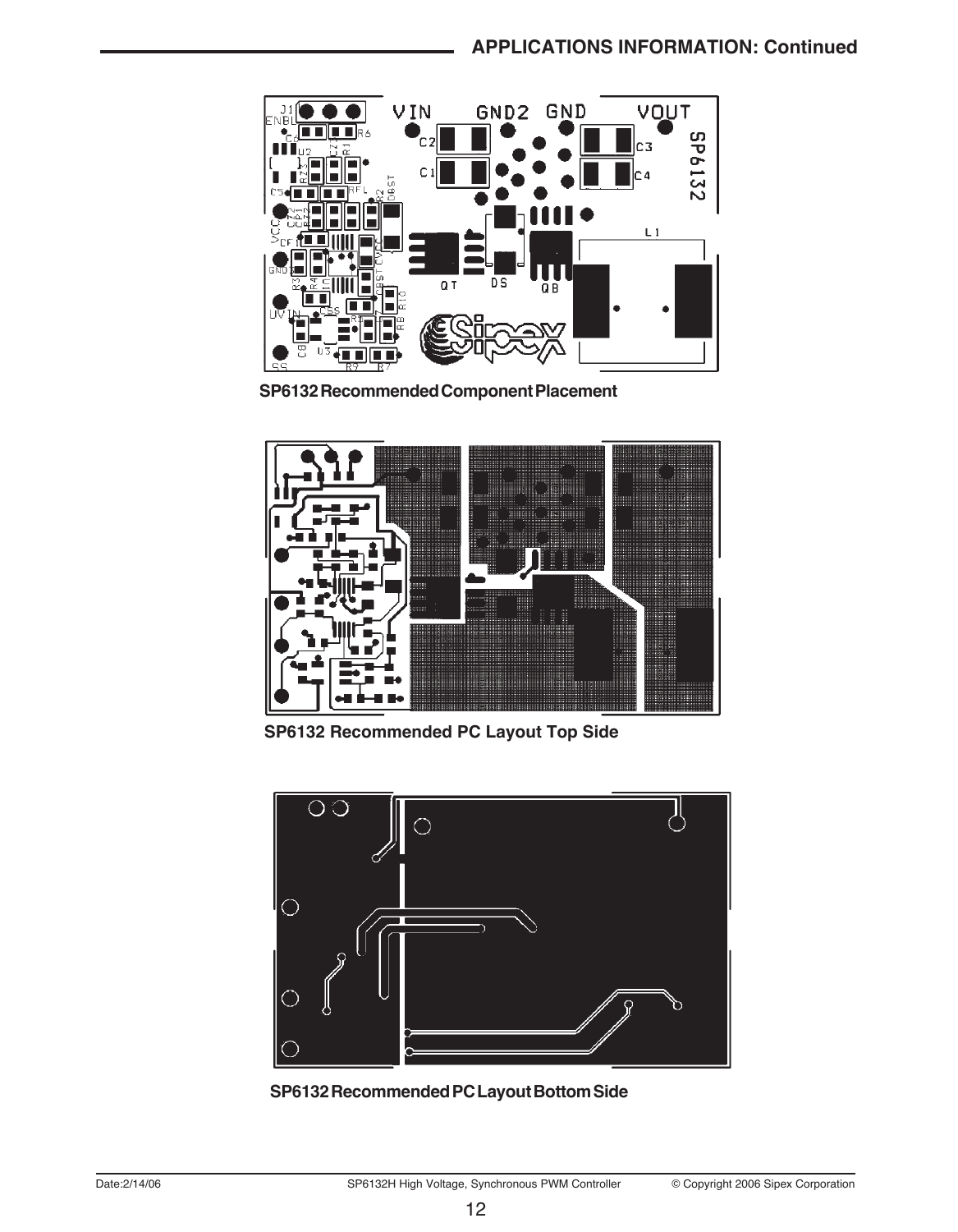

**SP6132 Recommended Component Placement**



**SP6132 Recommended PC Layout Top Side**



**SP6132 Recommended PC Layout Bottom Side**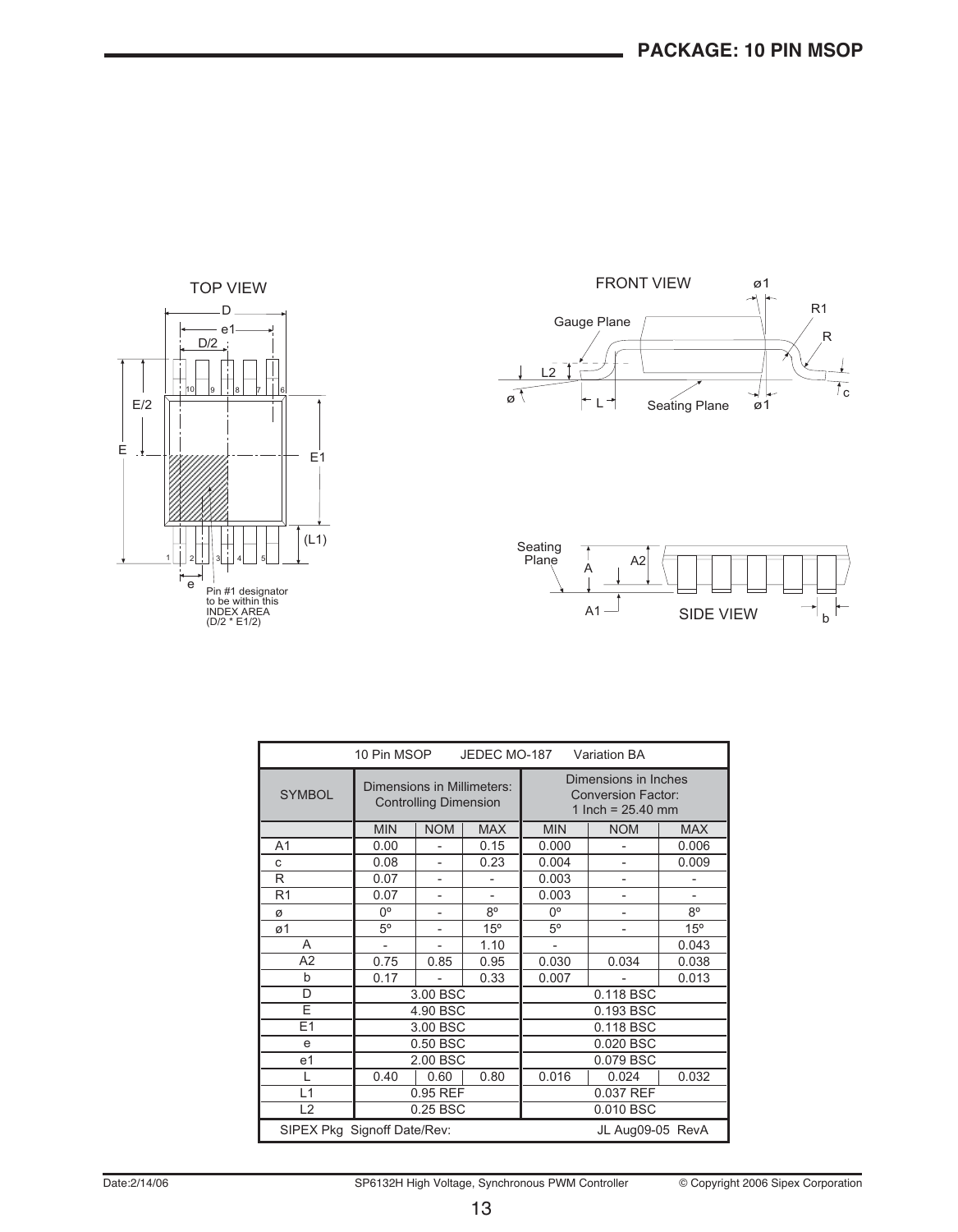





| 10 Pin MSOP<br>JEDEC MO-187<br><b>Variation BA</b> |                                                            |                          |             |                                                                          |                          |       |  |
|----------------------------------------------------|------------------------------------------------------------|--------------------------|-------------|--------------------------------------------------------------------------|--------------------------|-------|--|
| <b>SYMBOL</b>                                      | Dimensions in Millimeters:<br><b>Controlling Dimension</b> |                          |             | Dimensions in Inches<br><b>Conversion Factor:</b><br>1 Inch = $25.40$ mm |                          |       |  |
|                                                    | <b>MIN</b>                                                 | <b>NOM</b>               | <b>MAX</b>  | <b>MIN</b>                                                               | <b>NOM</b>               |       |  |
| A <sub>1</sub>                                     | 0.00                                                       |                          | 0.15        | 0.000                                                                    |                          | 0.006 |  |
| C                                                  | 0.08                                                       |                          | 0.23        | 0.004                                                                    | 0.009                    |       |  |
| R                                                  | 0.07                                                       |                          |             | 0.003                                                                    |                          |       |  |
| R <sub>1</sub>                                     | 0.07                                                       | $\overline{a}$           |             | 0.003                                                                    | $\overline{\phantom{0}}$ |       |  |
| ø                                                  | 0°                                                         | $\overline{\phantom{a}}$ | $8^{\circ}$ | $0^{\circ}$                                                              | $8^{\circ}$              |       |  |
| ø1                                                 | $5^{\circ}$                                                | $\overline{a}$           | 15°         | $5^{\circ}$<br>٠                                                         |                          | 15°   |  |
| A                                                  | ÷,                                                         | ÷.                       | 1.10        | $\overline{a}$                                                           |                          | 0.043 |  |
| A2                                                 | 0.75                                                       | 0.85                     | 0.95        | 0.030                                                                    | 0.034                    | 0.038 |  |
| b                                                  | 0.17                                                       | ٠                        | 0.33        | 0.007                                                                    | 0.013                    |       |  |
| D                                                  |                                                            | 3.00 BSC                 |             |                                                                          | 0.118 BSC                |       |  |
| E                                                  |                                                            | 4.90 BSC<br>0.193 BSC    |             |                                                                          |                          |       |  |
| E1                                                 | 3.00 BSC                                                   |                          |             | 0.118 BSC                                                                |                          |       |  |
| e                                                  | 0.50 BSC                                                   |                          |             | 0.020 BSC                                                                |                          |       |  |
| e <sub>1</sub>                                     | 2.00 BSC                                                   |                          |             | 0.079 BSC                                                                |                          |       |  |
| L                                                  | 0.40                                                       | 0.60                     | 0.80        | 0.016                                                                    | 0.024                    | 0.032 |  |
| L1                                                 |                                                            | 0.95 REF                 |             | 0.037 REF                                                                |                          |       |  |
| L2                                                 |                                                            | 0.25 BSC                 |             | 0.010 BSC                                                                |                          |       |  |
| SIPEX Pkg Signoff Date/Rev:<br>JL Aug09-05 RevA    |                                                            |                          |             |                                                                          |                          |       |  |

Date:2/14/06 SP6132H High Voltage, Synchronous PWM Controller © Copyright 2006 Sipex Corporation